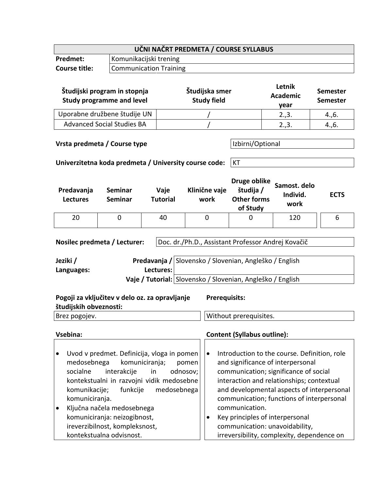| UČNI NAČRT PREDMETA / COURSE SYLLABUS |                               |  |
|---------------------------------------|-------------------------------|--|
| <b>Predmet:</b>                       | Komunikacijski trening        |  |
| <b>Course title:</b>                  | <b>Communication Training</b> |  |

| Študijski program in stopnja<br><b>Study programme and level</b> | Študijska smer<br><b>Study field</b> | Letnik<br><b>Academic</b><br>vear | <b>Semester</b><br><b>Semester</b> |
|------------------------------------------------------------------|--------------------------------------|-----------------------------------|------------------------------------|
| Uporabne družbene študije UN                                     |                                      | 2.,3.                             | 4., 6.                             |
| <b>Advanced Social Studies BA</b>                                |                                      | 2.,3.                             | 4., 6.                             |

## **Vrsta predmeta / Course type IVI Izbirni/Optional**

**Univerzitetna koda predmeta / University course code:** KT

| Predavanja<br><b>Lectures</b> | Seminar<br><b>Seminar</b> | Vaje<br><b>Tutorial</b> | Klinične vaje<br>work | Druge oblike<br>študija /<br><b>Other forms</b><br>of Study | Samost. delo<br>Individ.<br>work | <b>ECTS</b> |
|-------------------------------|---------------------------|-------------------------|-----------------------|-------------------------------------------------------------|----------------------------------|-------------|
| 20                            |                           | 40                      | 0                     | 0                                                           | 120                              |             |

**Nosilec predmeta / Lecturer:** | Doc. dr./Ph.D., Assistant Professor Andrej Kovačič

| Jeziki /   |             | Predavanja / Slovensko / Slovenian, Angleško / English     |
|------------|-------------|------------------------------------------------------------|
| Languages: | Lectures: I |                                                            |
|            |             | Vaje / Tutorial: Slovensko / Slovenian, Angleško / English |

| Pogoji za vključitev v delo oz. za opravljanje<br>študijskih obveznosti: | <b>Prerequisits:</b>   |
|--------------------------------------------------------------------------|------------------------|
| Brez pogojev.                                                            | Without prerequisites. |

- Uvod v predmet. Definicija, vloga in pomen medosebnega komuniciranja; pomen socialne interakcije in odnosov; kontekstualni in razvojni vidik medosebne komunikacije; funkcije medosebnega komuniciranja.
- Ključna načela medosebnega komuniciranja: neizogibnost, ireverzibilnost, kompleksnost, kontekstualna odvisnost.

## **Vsebina: Content (Syllabus outline):**

- Introduction to the course. Definition, role and significance of interpersonal communication; significance of social interaction and relationships; contextual and developmental aspects of interpersonal communication; functions of interpersonal communication.
- Key principles of interpersonal communication: unavoidability, irreversibility, complexity, dependence on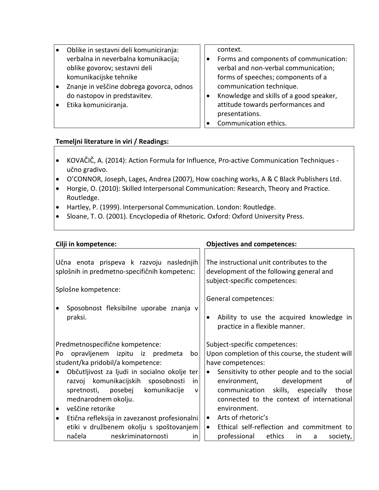| l e | Oblike in sestavni deli komuniciranja:   | context.                                |
|-----|------------------------------------------|-----------------------------------------|
|     | verbalna in neverbalna komunikacija;     | Forms and components of communication:  |
|     | oblike govorov; sestavni deli            | verbal and non-verbal communication;    |
|     | komunikacijske tehnike                   | forms of speeches; components of a      |
| ه ا | Znanje in veščine dobrega govorca, odnos | communication technique.                |
|     | do nastopov in predstavitev.             | Knowledge and skills of a good speaker, |
| I۰  | Etika komuniciranja.                     | attitude towards performances and       |
|     |                                          | presentations.                          |
|     |                                          | Communication ethics.                   |

## **Temeljni literature in viri / Readings:**

- KOVAČIČ, A. (2014): Action Formula for Influence, Pro-active Communication Techniques učno gradivo.
- O'CONNOR, Joseph, Lages, Andrea (2007), How coaching works, A & C Black Publishers Ltd.
- Horgie, O. (2010): Skilled Interpersonal Communication: Research, Theory and Practice. Routledge.
- Hartley, P. (1999). Interpersonal Communication. London: Routledge.
- Sloane, T. O. (2001). Encyclopedia of Rhetoric. Oxford: Oxford University Press.

| Cilji in kompetence:                                                                     | <b>Objectives and competences:</b>                                                                                     |
|------------------------------------------------------------------------------------------|------------------------------------------------------------------------------------------------------------------------|
| Učna enota prispeva k razvoju naslednjih<br>splošnih in predmetno-specifičnih kompetenc: | The instructional unit contributes to the<br>development of the following general and<br>subject-specific competences: |
| Splošne kompetence:                                                                      | General competences:                                                                                                   |
| Sposobnost fleksibilne uporabe znanja v<br>praksi.                                       | Ability to use the acquired knowledge in<br>practice in a flexible manner.                                             |
| Predmetnospecifične kompetence:                                                          | Subject-specific competences:                                                                                          |
| opravljenem izpitu iz predmeta<br>Po<br>bo                                               | Upon completion of this course, the student will                                                                       |
| student/ka pridobil/a kompetence:                                                        | have competences:                                                                                                      |
| Občutljivost za ljudi in socialno okolje ter                                             | Sensitivity to other people and to the social<br>$\bullet$                                                             |
| razvoj komunikacijskih sposobnosti<br>in                                                 | development<br>environment,<br>οf                                                                                      |
| spretnosti, posebej<br>komunikacije<br>$\mathsf{V}$                                      | communication skills, especially<br>those                                                                              |
| mednarodnem okolju.                                                                      | connected to the context of international                                                                              |
| veščine retorike<br>$\bullet$                                                            | environment.                                                                                                           |
| Etična refleksija in zavezanost profesionalni<br>$\bullet$                               | Arts of rhetoric's<br>$\bullet$                                                                                        |
| etiki v družbenem okolju s spoštovanjem                                                  | Ethical self-reflection and commitment to<br>$\bullet$                                                                 |
| neskriminatornosti<br>načela<br>in.                                                      | professional<br>ethics<br>society,<br>in.<br>a                                                                         |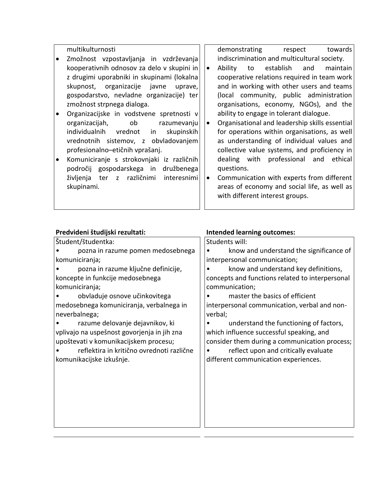multikulturnosti

- Zmožnost vzpostavljanja in vzdrževanja kooperativnih odnosov za delo v skupini in z drugimi uporabniki in skupinami (lokalna skupnost, organizacije javne uprave, gospodarstvo, nevladne organizacije) ter zmožnost strpnega dialoga.
- Organizacijske in vodstvene spretnosti v organizacijah, ob razumevanju individualnih vrednot in skupinskih vrednotnih sistemov, z obvladovanjem profesionalno–etičnih vprašanj.
- Komuniciranje s strokovnjaki iz različnih področij gospodarskega in družbenega življenja ter z različnimi interesnimi skupinami.

demonstrating respect towards indiscrimination and multicultural society.

- Ability to establish and maintain cooperative relations required in team work and in working with other users and teams (local community, public administration organisations, economy, NGOs), and the ability to engage in tolerant dialogue.
- Organisational and leadership skills essential for operations within organisations, as well as understanding of individual values and collective value systems, and proficiency in dealing with professional and ethical questions.
- Communication with experts from different areas of economy and social life, as well as with different interest groups.

| Predvideni študijski rezultati:             | <b>Intended learning outcomes:</b>              |  |  |
|---------------------------------------------|-------------------------------------------------|--|--|
| Študent/študentka:                          | Students will:                                  |  |  |
| pozna in razume pomen medosebnega           | know and understand the significance of         |  |  |
| komuniciranja;                              | interpersonal communication;                    |  |  |
| pozna in razume ključne definicije,         | know and understand key definitions,            |  |  |
| koncepte in funkcije medosebnega            | concepts and functions related to interpersonal |  |  |
| komuniciranja;                              | communication;                                  |  |  |
| obvladuje osnove učinkovitega               | master the basics of efficient                  |  |  |
| medosebnega komuniciranja, verbalnega in    | interpersonal communication, verbal and non-    |  |  |
| neverbalnega;                               | verbal;                                         |  |  |
| razume delovanje dejavnikov, ki             | understand the functioning of factors,          |  |  |
| vplivajo na uspešnost govorjenja in jih zna | which influence successful speaking, and        |  |  |
| upoštevati v komunikacijskem procesu;       | consider them during a communication process;   |  |  |
| reflektira in kritično ovrednoti različne   | reflect upon and critically evaluate            |  |  |
| komunikacijske izkušnje.                    | different communication experiences.            |  |  |
|                                             |                                                 |  |  |
|                                             |                                                 |  |  |
|                                             |                                                 |  |  |
|                                             |                                                 |  |  |
|                                             |                                                 |  |  |
|                                             |                                                 |  |  |
|                                             |                                                 |  |  |
|                                             |                                                 |  |  |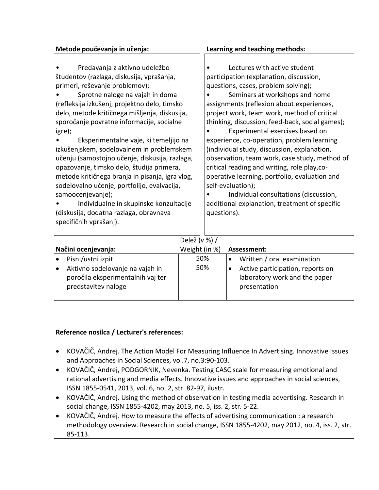| Metode poučevanja in učenja:                                                                                                                                                                                                                                                                                                                                                                                                                                                                                                                                                                                                                                                                                                      | Learning and teaching methods:                                                                                                                                                                                                                                                                                                                                                                                                                                                                                                                                                                                                                                                                                  |  |
|-----------------------------------------------------------------------------------------------------------------------------------------------------------------------------------------------------------------------------------------------------------------------------------------------------------------------------------------------------------------------------------------------------------------------------------------------------------------------------------------------------------------------------------------------------------------------------------------------------------------------------------------------------------------------------------------------------------------------------------|-----------------------------------------------------------------------------------------------------------------------------------------------------------------------------------------------------------------------------------------------------------------------------------------------------------------------------------------------------------------------------------------------------------------------------------------------------------------------------------------------------------------------------------------------------------------------------------------------------------------------------------------------------------------------------------------------------------------|--|
| Predavanja z aktivno udeležbo<br>študentov (razlaga, diskusija, vprašanja,<br>primeri, reševanje problemov);<br>Sprotne naloge na vajah in doma<br>(refleksija izkušenj, projektno delo, timsko<br>delo, metode kritičnega mišljenja, diskusija,<br>sporočanje povratne informacije, socialne<br>igre);<br>Eksperimentalne vaje, ki temeljijo na<br>izkušenjskem, sodelovalnem in problemskem<br>učenju (samostojno učenje, diskusija, razlaga,<br>opazovanje, timsko delo, študija primera,<br>metode kritičnega branja in pisanja, igra vlog,<br>sodelovalno učenje, portfolijo, evalvacija,<br>samoocenjevanje);<br>Individualne in skupinske konzultacije<br>(diskusija, dodatna razlaga, obravnava<br>specifičnih vprašanj). | Lectures with active student<br>participation (explanation, discussion,<br>questions, cases, problem solving);<br>Seminars at workshops and home<br>assignments (reflexion about experiences,<br>project work, team work, method of critical<br>thinking, discussion, feed-back, social games);<br>Experimental exercises based on<br>experience, co-operation, problem learning<br>(individual study, discussion, explanation,<br>observation, team work, case study, method of<br>critical reading and writing, role play, co-<br>operative learning, portfolio, evaluation and<br>self-evaluation);<br>Individual consultations (discussion,<br>additional explanation, treatment of specific<br>questions). |  |
|                                                                                                                                                                                                                                                                                                                                                                                                                                                                                                                                                                                                                                                                                                                                   |                                                                                                                                                                                                                                                                                                                                                                                                                                                                                                                                                                                                                                                                                                                 |  |

| Delež (v %) / |  |
|---------------|--|

| Načini ocenjevanja: |                                                                                             | Weight (in %) | Assessment:                                                                       |
|---------------------|---------------------------------------------------------------------------------------------|---------------|-----------------------------------------------------------------------------------|
|                     | Pisni/ustni izpit                                                                           | 50%           | Written / oral examination                                                        |
|                     | Aktivno sodelovanje na vajah in<br>poročila eksperimentalnih vaj ter<br>predstavitev naloge | 50%           | Active participation, reports on<br>laboratory work and the paper<br>presentation |

## **Reference nosilca / Lecturer's references:**

- KOVAČIČ, Andrej. The Action Model For Measuring Influence In Advertising. Innovative Issues and Approaches in Social Sciences, vol.7, no.3:90-103.
- KOVAČIČ, Andrej, PODGORNIK, Nevenka. Testing CASC scale for measuring emotional and rational advertising and media effects. Innovative issues and approaches in social sciences, ISSN 1855-0541, 2013, vol. 6, no. 2, str. 82-97, ilustr.
- KOVAČIČ, Andrej. Using the method of observation in testing media advertising. Research in social change, ISSN 1855-4202, may 2013, no. 5, iss. 2, str. 5-22.
- KOVAČIČ, Andrej. How to measure the effects of advertising communication : a research methodology overview. Research in social change, ISSN 1855-4202, may 2012, no. 4, iss. 2, str. 85-113.